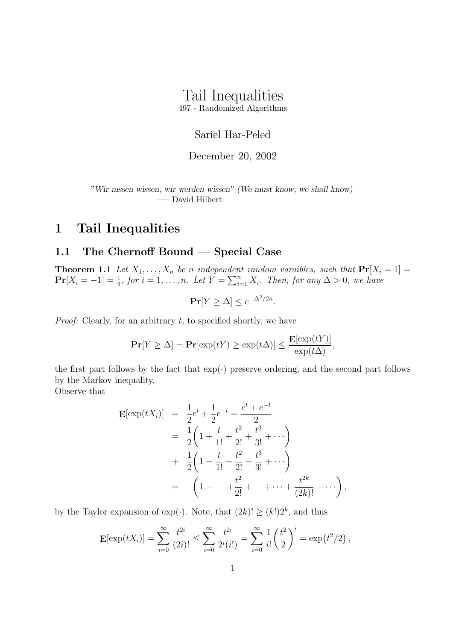# Tail Inequalities

497 - Randomized Algorithms

## Sariel Har-Peled

#### December 20, 2002

"Wir mssen wissen, wir werden wissen" (We must know, we shall know) —– David Hilbert

# 1 Tail Inequalities

## 1.1 The Chernoff Bound — Special Case

**Theorem 1.1** Let  $X_1, \ldots, X_n$  be n independent random varaibles, such that  $Pr[X_i = 1] =$  $\Pr[X_i = -1] = \frac{1}{2}$ , for  $i = 1, ..., n$ . Let  $Y = \sum_{i=1}^{n} X_i$ . Then, for any  $\Delta > 0$ , we have

$$
\Pr[Y \ge \Delta] \le e^{-\Delta^2/2n}.
$$

*Proof:* Clearly, for an arbitrary  $t$ , to specified shortly, we have

$$
\mathbf{Pr}[Y \ge \Delta] = \mathbf{Pr}[\exp(tY) \ge \exp(t\Delta)] \le \frac{\mathbf{E}[\exp(tY)]}{\exp(t\Delta)},
$$

the first part follows by the fact that  $\exp(\cdot)$  preserve ordering, and the second part follows by the Markov inequality.

Observe that

$$
\mathbf{E}[\exp(tX_i)] = \frac{1}{2}e^t + \frac{1}{2}e^{-t} = \frac{e^t + e^{-t}}{2}
$$
  
=  $\frac{1}{2}\left(1 + \frac{t}{1!} + \frac{t^2}{2!} + \frac{t^3}{3!} + \cdots\right)$   
+  $\frac{1}{2}\left(1 - \frac{t}{1!} + \frac{t^2}{2!} - \frac{t^3}{3!} + \cdots\right)$   
=  $\left(1 + \frac{t^2}{2!} + \cdots + \frac{t^{2k}}{(2k)!} + \cdots\right),$ 

by the Taylor expansion of  $\exp(\cdot)$ . Note, that  $(2k)! \geq (k!)2^k$ , and thus

$$
\mathbf{E}[\exp(tX_i)] = \sum_{i=0}^{\infty} \frac{t^{2i}}{(2i)!} \le \sum_{i=0}^{\infty} \frac{t^{2i}}{2^i(i!)} = \sum_{i=0}^{\infty} \frac{1}{i!} \left(\frac{t^2}{2}\right)^i = \exp(t^2/2),
$$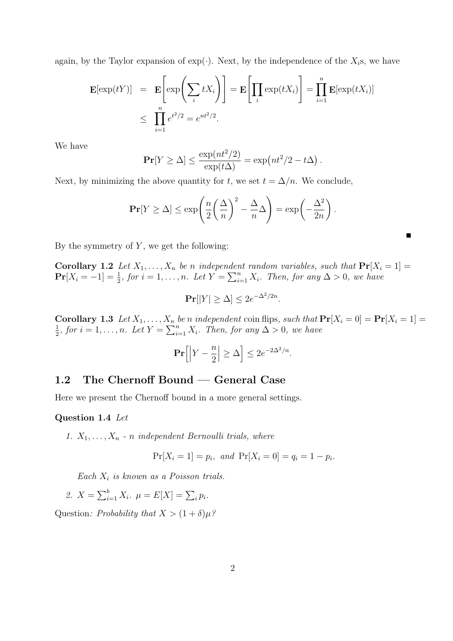again, by the Taylor expansion of  $\exp(\cdot)$ . Next, by the independence of the  $X_i$ s, we have

$$
\mathbf{E}[\exp(tY)] = \mathbf{E}\left[\exp\left(\sum_{i} tX_i\right)\right] = \mathbf{E}\left[\prod_{i} \exp(tX_i)\right] = \prod_{i=1}^{n} \mathbf{E}[\exp(tX_i)]
$$
  

$$
\leq \prod_{i=1}^{n} e^{t^2/2} = e^{nt^2/2}.
$$

We have

$$
\mathbf{Pr}[Y \ge \Delta] \le \frac{\exp(nt^2/2)}{\exp(t\Delta)} = \exp(nt^2/2 - t\Delta)
$$

.

 $\blacksquare$ 

Next, by minimizing the above quantity for t, we set  $t = \Delta/n$ . We conclude,

$$
\mathbf{Pr}[Y \ge \Delta] \le \exp\left(\frac{n}{2}\left(\frac{\Delta}{n}\right)^2 - \frac{\Delta}{n}\Delta\right) = \exp\left(-\frac{\Delta^2}{2n}\right).
$$

By the symmetry of  $Y$ , we get the following:

Corollary 1.2 Let  $X_1, \ldots, X_n$  be n independent random variables, such that  $\Pr[X_i = 1] =$  $\Pr[X_i = -1] = \frac{1}{2}$ , for  $i = 1, ..., n$ . Let  $Y = \sum_{i=1}^{n} X_i$ . Then, for any  $\Delta > 0$ , we have

$$
\Pr[|Y| \ge \Delta] \le 2e^{-\Delta^2/2n}.
$$

**Corollary 1.3** Let  $X_1, \ldots, X_n$  be n independent coin flips, such that  $\Pr[X_i = 0] = \Pr[X_i = 1] = \frac{1}{2}$  for  $i = 1$ ,  $n = Let V = \sum_{i=1}^{n} X_i$ . Then, for any  $\Delta > 0$ , we have  $\frac{1}{2}$ , for  $i = 1, ..., n$ . Let  $Y = \sum_{i=1}^{n} X_i$ . Then, for any  $\Delta > 0$ , we have

$$
\mathbf{Pr}\Big[\Big|Y - \frac{n}{2}\Big| \ge \Delta\Big] \le 2e^{-2\Delta^2/n}.
$$

## 1.2 The Chernoff Bound — General Case

Here we present the Chernoff bound in a more general settings.

#### Question 1.4 Let

1.  $X_1, \ldots, X_n$  - n independent Bernoulli trials, where

$$
Pr[X_i = 1] = p_i
$$
, and  $Pr[X_i = 0] = q_i = 1 - p_i$ .

Each  $X_i$  is known as a Poisson trials.

2. 
$$
X = \sum_{i=1}^{b} X_i
$$
.  $\mu = E[X] = \sum_{i} p_i$ .

Question: Probability that  $X > (1 + \delta)\mu$ ?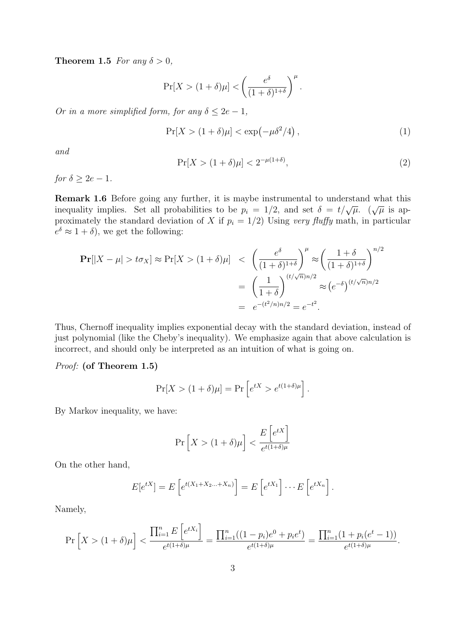**Theorem 1.5** For any  $\delta > 0$ ,

$$
\Pr[X > (1+\delta)\mu] < \left(\frac{e^{\delta}}{(1+\delta)^{1+\delta}}\right)^{\mu}.
$$

Or in a more simplified form, for any  $\delta \leq 2e - 1$ ,

$$
\Pr[X > (1+\delta)\mu] < \exp\left(-\mu\delta^2/4\right),\tag{1}
$$

and

$$
\Pr[X > (1+\delta)\mu] < 2^{-\mu(1+\delta)},\tag{2}
$$

for  $\delta > 2e - 1$ .

Remark 1.6 Before going any further, it is maybe instrumental to understand what this inequality implies. Set all probabilities to be  $p_i = 1/2$ , and set  $\delta = t/\sqrt{\mu}$ . ( $\sqrt{\mu}$  is approximately the standard deviation of X if  $p_i = 1/2$ ) Using very fluffy math, in particular  $e^{\delta} \approx 1 + \delta$ , we get the following:

$$
\begin{aligned} \Pr[|X - \mu| > t\sigma_X] \approx \Pr[X > (1 + \delta)\mu] < \left(\frac{e^{\delta}}{(1 + \delta)^{1 + \delta}}\right)^{\mu} \approx \left(\frac{1 + \delta}{(1 + \delta)^{1 + \delta}}\right)^{n/2} \\ &= \left(\frac{1}{1 + \delta}\right)^{(t/\sqrt{n})n/2} \approx \left(e^{-\delta}\right)^{(t/\sqrt{n})n/2} \\ &= e^{-(t^2/n)n/2} = e^{-t^2} .\end{aligned}
$$

Thus, Chernoff inequality implies exponential decay with the standard deviation, instead of just polynomial (like the Cheby's inequality). We emphasize again that above calculation is incorrect, and should only be interpreted as an intuition of what is going on.

Proof: (of Theorem 1.5)

$$
\Pr[X > (1+\delta)\mu] = \Pr\left[e^{tX} > e^{t(1+\delta)\mu}\right].
$$

By Markov inequality, we have:

$$
\Pr\left[X > (1+\delta)\mu\right] < \frac{E\left[e^{tX}\right]}{e^{t(1+\delta)\mu}}
$$

On the other hand,

$$
E[e^{tX}] = E\left[e^{t(X_1 + X_2 \dots + X_n)}\right] = E\left[e^{tX_1}\right] \dots E\left[e^{tX_n}\right].
$$

Namely,

$$
\Pr\left[X > (1+\delta)\mu\right] < \frac{\prod_{i=1}^{n} E\left[e^{tX_i}\right]}{e^{t(1+\delta)\mu}} = \frac{\prod_{i=1}^{n} ((1-p_i)e^0 + p_i e^t)}{e^{t(1+\delta)\mu}} = \frac{\prod_{i=1}^{n} (1 + p_i(e^t - 1))}{e^{t(1+\delta)\mu}}.
$$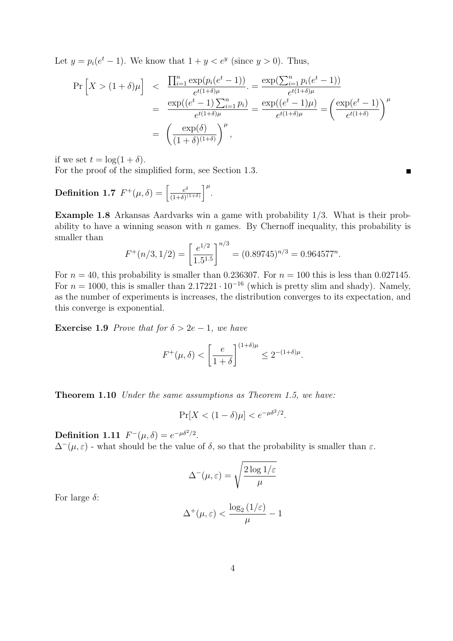Let  $y = p_i(e^t - 1)$ . We know that  $1 + y < e^y$  (since  $y > 0$ ). Thus,

$$
\Pr\left[X > (1+\delta)\mu\right] < \frac{\prod_{i=1}^{n} \exp(p_i(e^t - 1))}{e^{t(1+\delta)\mu}} = \frac{\exp(\sum_{i=1}^{n} p_i(e^t - 1))}{e^{t(1+\delta)\mu}} \\
= \frac{\exp((e^t - 1)\sum_{i=1}^{n} p_i)}{e^{t(1+\delta)\mu}} = \frac{\exp((e^t - 1)\mu)}{e^{t(1+\delta)\mu}} = \left(\frac{\exp(e^t - 1)}{e^{t(1+\delta)}}\right)^{\mu} \\
= \left(\frac{\exp(\delta)}{(1+\delta)^{(1+\delta)}}\right)^{\mu},
$$

if we set  $t = \log(1 + \delta)$ .

For the proof of the simplified form, see Section 1.3.

**Definition 1.7** 
$$
F^+(\mu, \delta) = \left[\frac{e^{\delta}}{(1+\delta)^{(1+\delta)}}\right]^{\mu}
$$
.

Example 1.8 Arkansas Aardvarks win a game with probability 1/3. What is their probability to have a winning season with  $n$  games. By Chernoff inequality, this probability is smaller than

$$
F^+(n/3, 1/2) = \left[\frac{e^{1/2}}{1.5^{1.5}}\right]^{n/3} = (0.89745)^{n/3} = 0.964577^n.
$$

For  $n = 40$ , this probability is smaller than 0.236307. For  $n = 100$  this is less than 0.027145. For  $n = 1000$ , this is smaller than 2.17221 · 10<sup>-16</sup> (which is pretty slim and shady). Namely, as the number of experiments is increases, the distribution converges to its expectation, and this converge is exponential.

**Exercise 1.9** Prove that for  $\delta > 2e - 1$ , we have

$$
F^+(\mu,\delta) < \left[\frac{e}{1+\delta}\right]^{(1+\delta)\mu} \le 2^{-(1+\delta)\mu}.
$$

Theorem 1.10 Under the same assumptions as Theorem 1.5, we have:

$$
\Pr[X < (1 - \delta)\mu] < e^{-\mu \delta^2/2}.
$$

Definition 1.11  $F^-(\mu, \delta) = e^{-\mu \delta^2/2}$ .

 $\Delta^-(\mu, \varepsilon)$  - what should be the value of  $\delta$ , so that the probability is smaller than  $\varepsilon$ .

$$
\Delta^{-}(\mu,\varepsilon) = \sqrt{\frac{2\log 1/\varepsilon}{\mu}}
$$

For large  $\delta$ :

$$
\Delta^+(\mu,\varepsilon)<\frac{\log_2\left(1/\varepsilon\right)}{\mu}-1
$$

 $\blacksquare$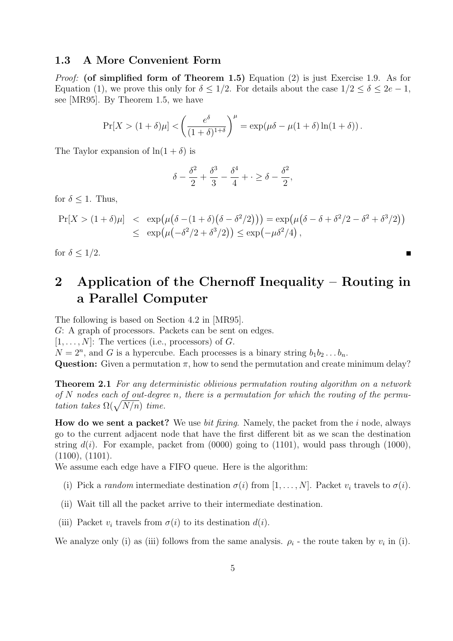### 1.3 A More Convenient Form

*Proof:* (of simplified form of Theorem 1.5) Equation (2) is just Exercise 1.9. As for Equation (1), we prove this only for  $\delta \leq 1/2$ . For details about the case  $1/2 \leq \delta \leq 2e - 1$ , see [MR95]. By Theorem 1.5, we have

$$
\Pr[X > (1+\delta)\mu] < \left(\frac{e^{\delta}}{(1+\delta)^{1+\delta}}\right)^{\mu} = \exp(\mu\delta - \mu(1+\delta)\ln(1+\delta)).
$$

The Taylor expansion of  $\ln(1+\delta)$  is

$$
\delta - \frac{\delta^2}{2} + \frac{\delta^3}{3} - \frac{\delta^4}{4} + \cdot \ge \delta - \frac{\delta^2}{2},
$$

for  $\delta \leq 1$ . Thus,

$$
\Pr[X > (1+\delta)\mu] < \exp\left(\mu\big(\delta - (1+\delta)\big(\delta - \delta^2/2\big)\big)\right) = \exp\left(\mu\big(\delta - \delta + \delta^2/2 - \delta^2 + \delta^3/2\big)\right) \\
\leq \exp\left(\mu\big(-\delta^2/2 + \delta^3/2\big)\right) \leq \exp\left(-\mu\delta^2/4\right),
$$

П

for  $\delta \leq 1/2$ .

# 2 Application of the Chernoff Inequality – Routing in a Parallel Computer

The following is based on Section 4.2 in [MR95].

G: A graph of processors. Packets can be sent on edges.

 $[1, \ldots, N]$ : The vertices (i.e., processors) of G.

 $N = 2<sup>n</sup>$ , and G is a hypercube. Each processes is a binary string  $b_1b_2 \ldots b_n$ .

Question: Given a permutation  $\pi$ , how to send the permutation and create minimum delay?

**Theorem 2.1** For any deterministic oblivious permutation routing algorithm on a network of N nodes each of out-degree n, there is a permutation for which the routing of the permutation takes  $\Omega(\sqrt{N/n})$  time.

**How do we sent a packet?** We use *bit fixing*. Namely, the packet from the i node, always go to the current adjacent node that have the first different bit as we scan the destination string  $d(i)$ . For example, packet from (0000) going to (1101), would pass through (1000), (1100), (1101).

We assume each edge have a FIFO queue. Here is the algorithm:

- (i) Pick a random intermediate destination  $\sigma(i)$  from  $[1, \ldots, N]$ . Packet  $v_i$  travels to  $\sigma(i)$ .
- (ii) Wait till all the packet arrive to their intermediate destination.
- (iii) Packet  $v_i$  travels from  $\sigma(i)$  to its destination  $d(i)$ .

We analyze only (i) as (iii) follows from the same analysis.  $\rho_i$  - the route taken by  $v_i$  in (i).